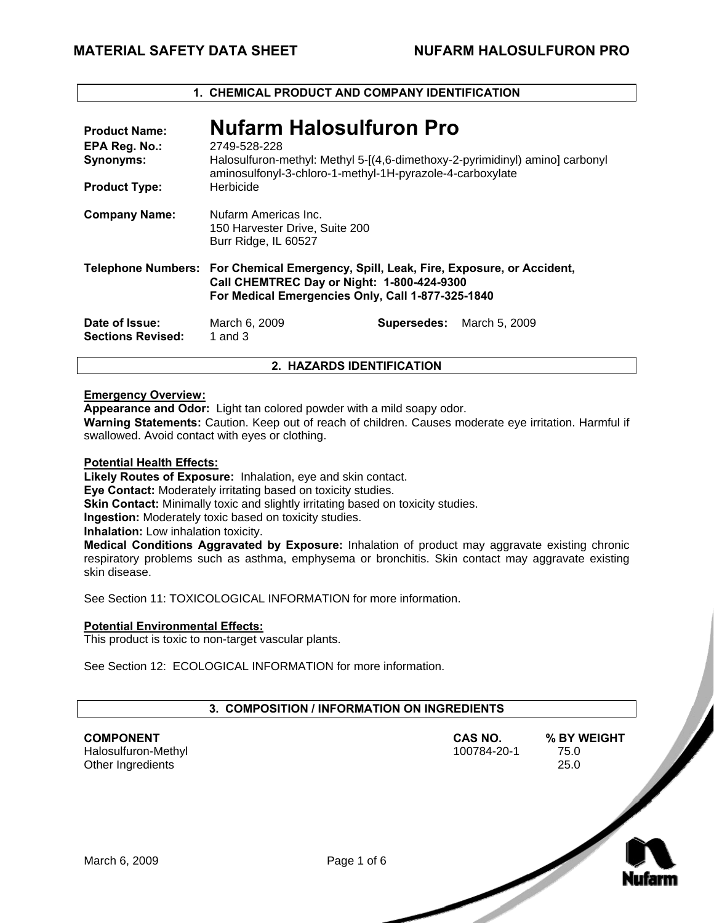# **1. CHEMICAL PRODUCT AND COMPANY IDENTIFICATION**

| <b>Product Name:</b><br>EPA Reg. No.:<br><b>Synonyms:</b><br><b>Product Type:</b> | <b>Nufarm Halosulfuron Pro</b><br>2749-528-228<br>Halosulfuron-methyl: Methyl 5-[(4,6-dimethoxy-2-pyrimidinyl) amino] carbonyl<br>aminosulfonyl-3-chloro-1-methyl-1H-pyrazole-4-carboxylate<br>Herbicide |                           |  |
|-----------------------------------------------------------------------------------|----------------------------------------------------------------------------------------------------------------------------------------------------------------------------------------------------------|---------------------------|--|
| <b>Company Name:</b>                                                              | Nufarm Americas Inc.<br>150 Harvester Drive, Suite 200<br>Burr Ridge, IL 60527                                                                                                                           |                           |  |
|                                                                                   | Telephone Numbers: For Chemical Emergency, Spill, Leak, Fire, Exposure, or Accident,<br>Call CHEMTREC Day or Night: 1-800-424-9300<br>For Medical Emergencies Only, Call 1-877-325-1840                  |                           |  |
| Date of Issue:<br><b>Sections Revised:</b>                                        | March 6, 2009<br>1 and $3$                                                                                                                                                                               | Supersedes: March 5, 2009 |  |

# **2. HAZARDS IDENTIFICATION**

#### **Emergency Overview:**

**Appearance and Odor:** Light tan colored powder with a mild soapy odor.

**Warning Statements:** Caution. Keep out of reach of children. Causes moderate eye irritation. Harmful if swallowed. Avoid contact with eyes or clothing.

#### **Potential Health Effects:**

**Likely Routes of Exposure:** Inhalation, eye and skin contact.

**Eye Contact:** Moderately irritating based on toxicity studies.

**Skin Contact:** Minimally toxic and slightly irritating based on toxicity studies.

**Ingestion:** Moderately toxic based on toxicity studies.

**Inhalation:** Low inhalation toxicity.

**Medical Conditions Aggravated by Exposure:** Inhalation of product may aggravate existing chronic respiratory problems such as asthma, emphysema or bronchitis. Skin contact may aggravate existing skin disease.

See Section 11: TOXICOLOGICAL INFORMATION for more information.

#### **Potential Environmental Effects:**

This product is toxic to non-target vascular plants.

See Section 12: ECOLOGICAL INFORMATION for more information.

| 3. COMPOSITION / INFORMATION ON INGREDIENTS                  |             |                        |                             |
|--------------------------------------------------------------|-------------|------------------------|-----------------------------|
| <b>COMPONENT</b><br>Halosulfuron-Methyl<br>Other Ingredients |             | CAS NO.<br>100784-20-1 | % BY WEIGHT<br>75.0<br>25.0 |
| March 6, 2009                                                | Page 1 of 6 |                        |                             |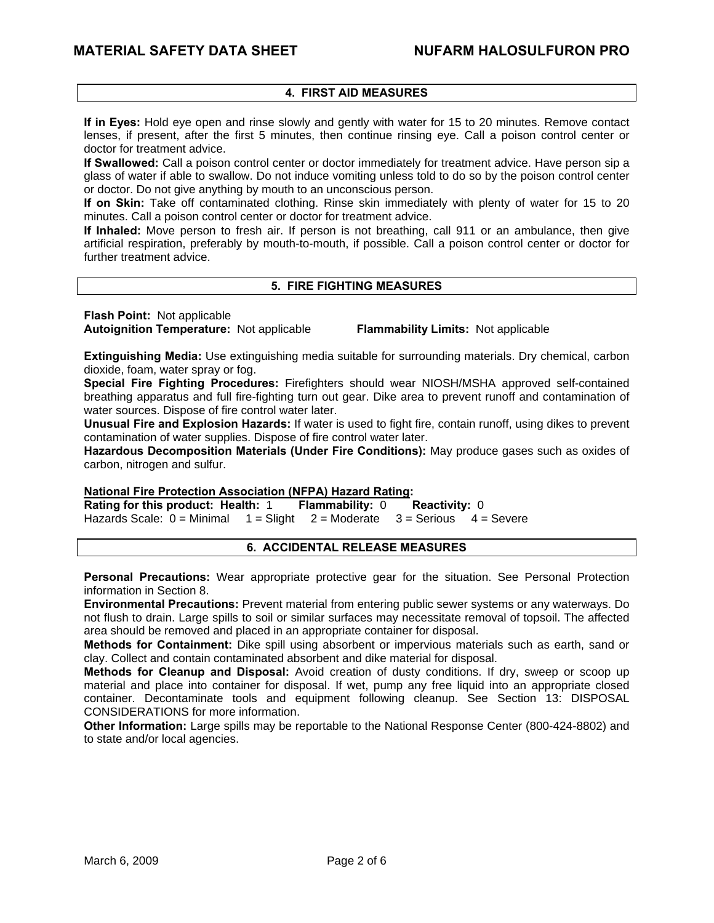# **4. FIRST AID MEASURES**

**If in Eyes:** Hold eye open and rinse slowly and gently with water for 15 to 20 minutes. Remove contact lenses, if present, after the first 5 minutes, then continue rinsing eye. Call a poison control center or doctor for treatment advice.

**If Swallowed:** Call a poison control center or doctor immediately for treatment advice. Have person sip a glass of water if able to swallow. Do not induce vomiting unless told to do so by the poison control center or doctor. Do not give anything by mouth to an unconscious person.

**If on Skin:** Take off contaminated clothing. Rinse skin immediately with plenty of water for 15 to 20 minutes. Call a poison control center or doctor for treatment advice.

**If Inhaled:** Move person to fresh air. If person is not breathing, call 911 or an ambulance, then give artificial respiration, preferably by mouth-to-mouth, if possible. Call a poison control center or doctor for further treatment advice.

#### **5. FIRE FIGHTING MEASURES**

**Flash Point:** Not applicable

**Autoignition Temperature:** Not applicable **Flammability Limits:** Not applicable

**Extinguishing Media:** Use extinguishing media suitable for surrounding materials. Dry chemical, carbon dioxide, foam, water spray or fog.

**Special Fire Fighting Procedures:** Firefighters should wear NIOSH/MSHA approved self-contained breathing apparatus and full fire-fighting turn out gear. Dike area to prevent runoff and contamination of water sources. Dispose of fire control water later.

**Unusual Fire and Explosion Hazards:** If water is used to fight fire, contain runoff, using dikes to prevent contamination of water supplies. Dispose of fire control water later.

**Hazardous Decomposition Materials (Under Fire Conditions):** May produce gases such as oxides of carbon, nitrogen and sulfur.

#### **National Fire Protection Association (NFPA) Hazard Rating:**

**Rating for this product: Health:** 1 **Flammability:** 0 **Reactivity:** 0  $1 =$  Slight 2 = Moderate 3 = Serious 4 = Severe

#### **6. ACCIDENTAL RELEASE MEASURES**

**Personal Precautions:** Wear appropriate protective gear for the situation. See Personal Protection information in Section 8.

**Environmental Precautions:** Prevent material from entering public sewer systems or any waterways. Do not flush to drain. Large spills to soil or similar surfaces may necessitate removal of topsoil. The affected area should be removed and placed in an appropriate container for disposal.

**Methods for Containment:** Dike spill using absorbent or impervious materials such as earth, sand or clay. Collect and contain contaminated absorbent and dike material for disposal.

**Methods for Cleanup and Disposal:** Avoid creation of dusty conditions. If dry, sweep or scoop up material and place into container for disposal. If wet, pump any free liquid into an appropriate closed container. Decontaminate tools and equipment following cleanup. See Section 13: DISPOSAL CONSIDERATIONS for more information.

**Other Information:** Large spills may be reportable to the National Response Center (800-424-8802) and to state and/or local agencies.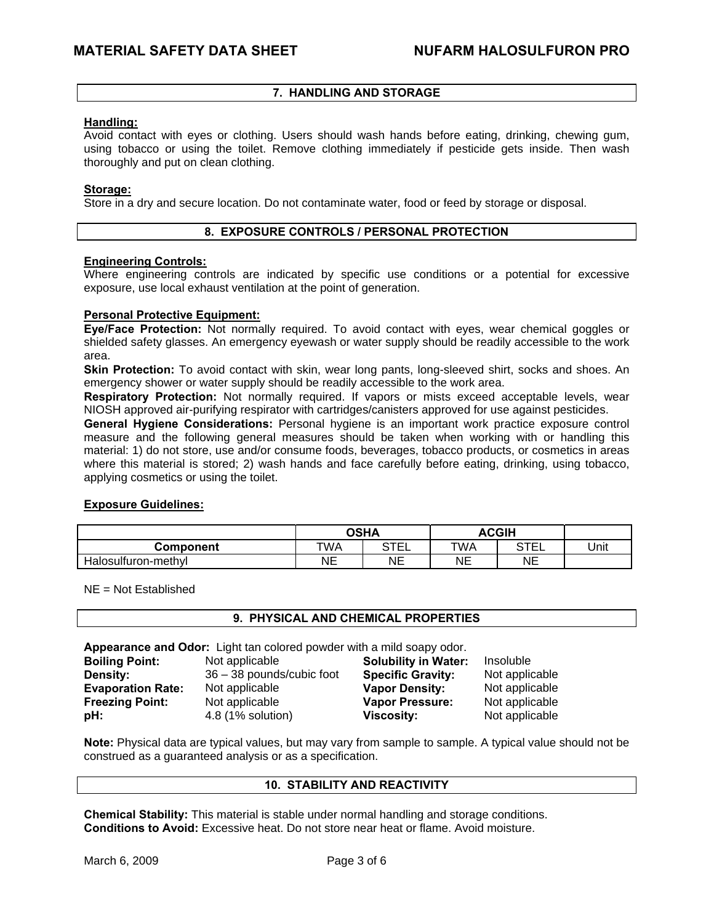# **7. HANDLING AND STORAGE**

#### **Handling:**

Avoid contact with eyes or clothing. Users should wash hands before eating, drinking, chewing gum, using tobacco or using the toilet. Remove clothing immediately if pesticide gets inside. Then wash thoroughly and put on clean clothing.

#### **Storage:**

Store in a dry and secure location. Do not contaminate water, food or feed by storage or disposal.

# **8. EXPOSURE CONTROLS / PERSONAL PROTECTION**

#### **Engineering Controls:**

Where engineering controls are indicated by specific use conditions or a potential for excessive exposure, use local exhaust ventilation at the point of generation.

#### **Personal Protective Equipment:**

**Eye/Face Protection:** Not normally required. To avoid contact with eyes, wear chemical goggles or shielded safety glasses. An emergency eyewash or water supply should be readily accessible to the work area.

**Skin Protection:** To avoid contact with skin, wear long pants, long-sleeved shirt, socks and shoes. An emergency shower or water supply should be readily accessible to the work area.

**Respiratory Protection:** Not normally required. If vapors or mists exceed acceptable levels, wear NIOSH approved air-purifying respirator with cartridges/canisters approved for use against pesticides.

**General Hygiene Considerations:** Personal hygiene is an important work practice exposure control measure and the following general measures should be taken when working with or handling this material: 1) do not store, use and/or consume foods, beverages, tobacco products, or cosmetics in areas where this material is stored; 2) wash hands and face carefully before eating, drinking, using tobacco, applying cosmetics or using the toilet.

#### **Exposure Guidelines:**

|                     | <b>OSHA</b> |           | <b>ACGIH</b> |                     |      |
|---------------------|-------------|-----------|--------------|---------------------|------|
| Component           | TWA         | STE'<br>⊢ | TWA          | STE'<br>__          | Unit |
| Halosulfuron-methyl | NΕ          | <b>NE</b> | NE           | <b>NF</b><br>$\sim$ |      |

NE = Not Established

# **9. PHYSICAL AND CHEMICAL PROPERTIES**

**Appearance and Odor:** Light tan colored powder with a mild soapy odor.

| <b>Boiling Point:</b>    | Not applicable            | <b>Solubility in Water:</b> | Insoluble      |
|--------------------------|---------------------------|-----------------------------|----------------|
| Density:                 | 36 - 38 pounds/cubic foot | <b>Specific Gravity:</b>    | Not applicable |
| <b>Evaporation Rate:</b> | Not applicable            | <b>Vapor Density:</b>       | Not applicable |
| <b>Freezing Point:</b>   | Not applicable            | <b>Vapor Pressure:</b>      | Not applicable |
| pH:                      | 4.8 (1% solution)         | Viscosity:                  | Not applicable |

**Note:** Physical data are typical values, but may vary from sample to sample. A typical value should not be construed as a guaranteed analysis or as a specification.

#### **10. STABILITY AND REACTIVITY**

**Chemical Stability:** This material is stable under normal handling and storage conditions. **Conditions to Avoid:** Excessive heat. Do not store near heat or flame. Avoid moisture.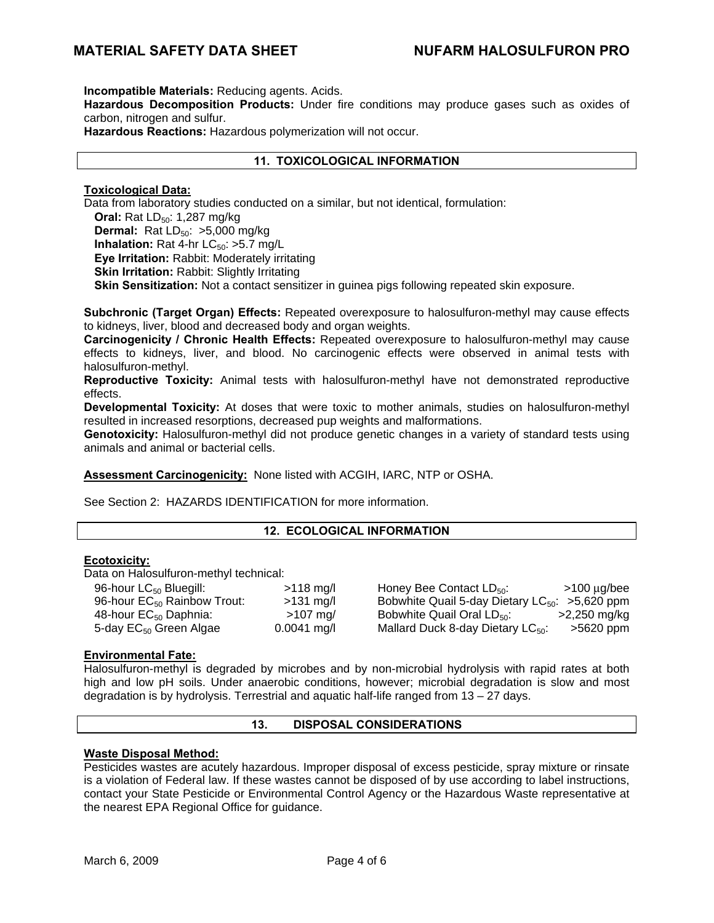**Incompatible Materials:** Reducing agents. Acids.

**Hazardous Decomposition Products:** Under fire conditions may produce gases such as oxides of carbon, nitrogen and sulfur.

**Hazardous Reactions:** Hazardous polymerization will not occur.

# **11. TOXICOLOGICAL INFORMATION**

### **Toxicological Data:**

Data from laboratory studies conducted on a similar, but not identical, formulation: **Oral:** Rat LD<sub>50</sub>: 1,287 mg/kg **Dermal:** Rat  $LD_{50}$ :  $>5,000$  mg/kg **Inhalation:** Rat 4-hr  $LC_{50}$ :  $>5.7$  mg/L **Eye Irritation:** Rabbit: Moderately irritating **Skin Irritation: Rabbit: Slightly Irritating Skin Sensitization:** Not a contact sensitizer in guinea pigs following repeated skin exposure.

**Subchronic (Target Organ) Effects:** Repeated overexposure to halosulfuron-methyl may cause effects to kidneys, liver, blood and decreased body and organ weights.

**Carcinogenicity / Chronic Health Effects:** Repeated overexposure to halosulfuron-methyl may cause effects to kidneys, liver, and blood. No carcinogenic effects were observed in animal tests with halosulfuron-methyl.

**Reproductive Toxicity:** Animal tests with halosulfuron-methyl have not demonstrated reproductive effects.

**Developmental Toxicity:** At doses that were toxic to mother animals, studies on halosulfuron-methyl resulted in increased resorptions, decreased pup weights and malformations.

**Genotoxicity:** Halosulfuron-methyl did not produce genetic changes in a variety of standard tests using animals and animal or bacterial cells.

**Assessment Carcinogenicity:** None listed with ACGIH, IARC, NTP or OSHA.

See Section 2: HAZARDS IDENTIFICATION for more information.

#### **12. ECOLOGICAL INFORMATION**

#### **Ecotoxicity:**

Data on Halosulfuron-methyl technical:

| 96-hour LC <sub>50</sub> Bluegill:      | $>118$ mg/l   |
|-----------------------------------------|---------------|
| 96-hour EC <sub>50</sub> Rainbow Trout: | $>131$ mg/l   |
| 48-hour $EC_{50}$ Daphnia:              | $>107$ mg/    |
| 5-day EC <sub>50</sub> Green Algae      | $0.0041$ mg/l |

Honey Bee Contact  $LD_{50}$ :  $>100 \mu g/bee$ Bobwhite Quail 5-day Dietary  $LC_{50}$ : >5,620 ppm Bobwhite Quail Oral  $LD_{50}$ :  $\qquad \qquad$  >2,250 mg/kg Mallard Duck 8-day Dietary  $LC_{50}$ :  $>5620$  ppm

# **Environmental Fate:**

Halosulfuron-methyl is degraded by microbes and by non-microbial hydrolysis with rapid rates at both high and low pH soils. Under anaerobic conditions, however; microbial degradation is slow and most degradation is by hydrolysis. Terrestrial and aquatic half-life ranged from 13 – 27 days.

## **13. DISPOSAL CONSIDERATIONS**

#### **Waste Disposal Method:**

Pesticides wastes are acutely hazardous. Improper disposal of excess pesticide, spray mixture or rinsate is a violation of Federal law. If these wastes cannot be disposed of by use according to label instructions, contact your State Pesticide or Environmental Control Agency or the Hazardous Waste representative at the nearest EPA Regional Office for guidance.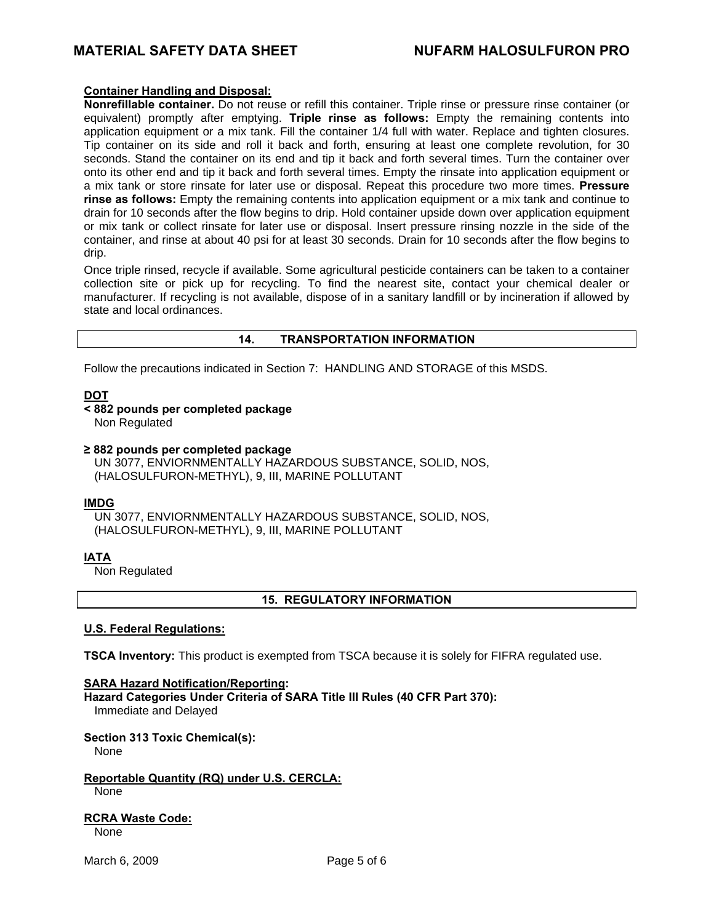# **MATERIAL SAFETY DATA SHEET NUFARM HALOSULFURON PRO**

#### **Container Handling and Disposal:**

**Nonrefillable container.** Do not reuse or refill this container. Triple rinse or pressure rinse container (or equivalent) promptly after emptying. **Triple rinse as follows:** Empty the remaining contents into application equipment or a mix tank. Fill the container 1/4 full with water. Replace and tighten closures. Tip container on its side and roll it back and forth, ensuring at least one complete revolution, for 30 seconds. Stand the container on its end and tip it back and forth several times. Turn the container over onto its other end and tip it back and forth several times. Empty the rinsate into application equipment or a mix tank or store rinsate for later use or disposal. Repeat this procedure two more times. **Pressure rinse as follows:** Empty the remaining contents into application equipment or a mix tank and continue to drain for 10 seconds after the flow begins to drip. Hold container upside down over application equipment or mix tank or collect rinsate for later use or disposal. Insert pressure rinsing nozzle in the side of the container, and rinse at about 40 psi for at least 30 seconds. Drain for 10 seconds after the flow begins to drip.

Once triple rinsed, recycle if available. Some agricultural pesticide containers can be taken to a container collection site or pick up for recycling. To find the nearest site, contact your chemical dealer or manufacturer. If recycling is not available, dispose of in a sanitary landfill or by incineration if allowed by state and local ordinances.

# **14. TRANSPORTATION INFORMATION**

Follow the precautions indicated in Section 7: HANDLING AND STORAGE of this MSDS.

# **DOT**

**< 882 pounds per completed package** 

Non Regulated

**≥ 882 pounds per completed package** 

UN 3077, ENVIORNMENTALLY HAZARDOUS SUBSTANCE, SOLID, NOS, (HALOSULFURON-METHYL), 9, III, MARINE POLLUTANT

#### **IMDG**

UN 3077, ENVIORNMENTALLY HAZARDOUS SUBSTANCE, SOLID, NOS, (HALOSULFURON-METHYL), 9, III, MARINE POLLUTANT

# **IATA**

**Non Regulated** 

#### **15. REGULATORY INFORMATION**

#### **U.S. Federal Regulations:**

**TSCA Inventory:** This product is exempted from TSCA because it is solely for FIFRA regulated use.

#### **SARA Hazard Notification/Reporting:**

**Hazard Categories Under Criteria of SARA Title III Rules (40 CFR Part 370):** Immediate and Delayed

# **Section 313 Toxic Chemical(s):**

None

**Reportable Quantity (RQ) under U.S. CERCLA:** None

**RCRA Waste Code:** None